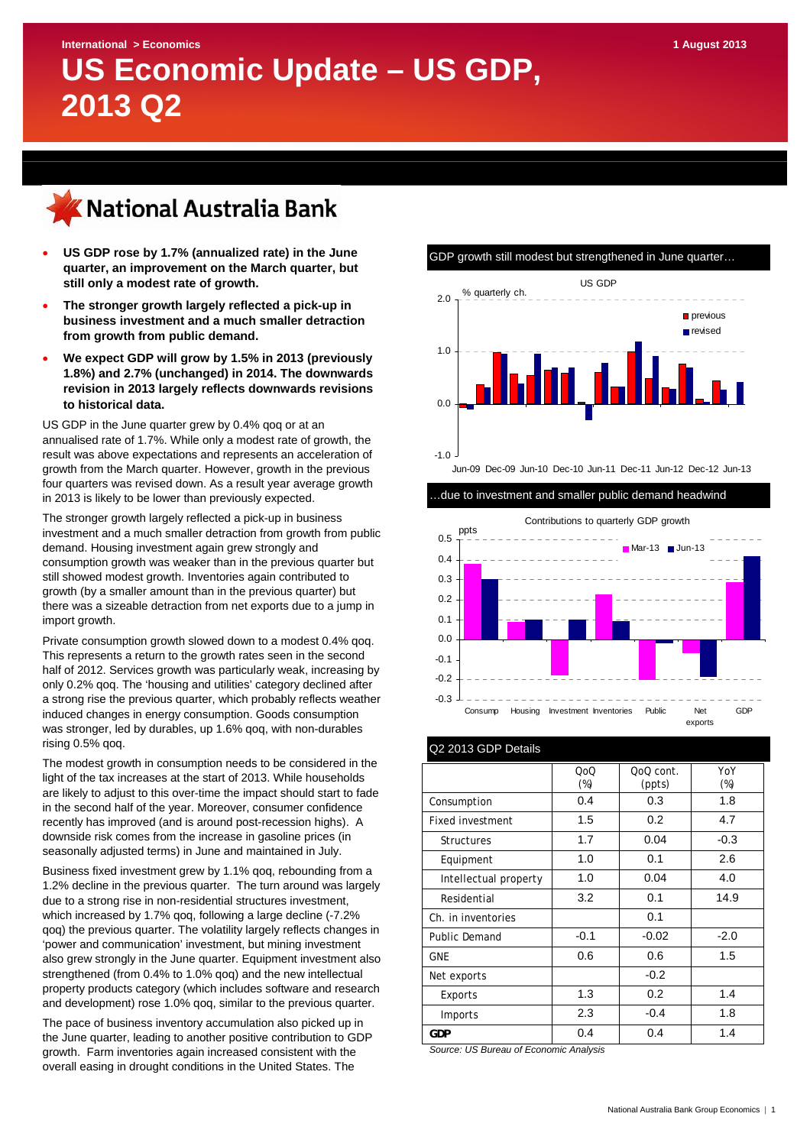# **International > Economics 1 August 2013 US Economic Update – US GDP, 2013 Q2**



- **US GDP rose by 1.7% (annualized rate) in the June quarter, an improvement on the March quarter, but still only a modest rate of growth.**
- **The stronger growth largely reflected a pick-up in business investment and a much smaller detraction from growth from public demand.**
- **We expect GDP will grow by 1.5% in 2013 (previously 1.8%) and 2.7% (unchanged) in 2014. The downwards revision in 2013 largely reflects downwards revisions to historical data.**

US GDP in the June quarter grew by 0.4% qoq or at an annualised rate of 1.7%. While only a modest rate of growth, the result was above expectations and represents an acceleration of growth from the March quarter. However, growth in the previous four quarters was revised down. As a result year average growth in 2013 is likely to be lower than previously expected.

The stronger growth largely reflected a pick-up in business investment and a much smaller detraction from growth from public demand. Housing investment again grew strongly and consumption growth was weaker than in the previous quarter but still showed modest growth. Inventories again contributed to growth (by a smaller amount than in the previous quarter) but there was a sizeable detraction from net exports due to a jump in import growth.

Private consumption growth slowed down to a modest 0.4% qoq. This represents a return to the growth rates seen in the second half of 2012. Services growth was particularly weak, increasing by only 0.2% qoq. The 'housing and utilities' category declined after a strong rise the previous quarter, which probably reflects weather induced changes in energy consumption. Goods consumption was stronger, led by durables, up 1.6% qoq, with non-durables rising 0.5% qoq.

The modest growth in consumption needs to be considered in the light of the tax increases at the start of 2013. While households are likely to adjust to this over-time the impact should start to fade in the second half of the year. Moreover, consumer confidence recently has improved (and is around post-recession highs). A downside risk comes from the increase in gasoline prices (in seasonally adjusted terms) in June and maintained in July.

Business fixed investment grew by 1.1% qoq, rebounding from a 1.2% decline in the previous quarter. The turn around was largely due to a strong rise in non-residential structures investment, which increased by 1.7% qoq, following a large decline (-7.2% qoq) the previous quarter. The volatility largely reflects changes in 'power and communication' investment, but mining investment also grew strongly in the June quarter. Equipment investment also strengthened (from 0.4% to 1.0% qoq) and the new intellectual property products category (which includes software and research and development) rose 1.0% qoq, similar to the previous quarter.

The pace of business inventory accumulation also picked up in the June quarter, leading to another positive contribution to GDP growth. Farm inventories again increased consistent with the overall easing in drought conditions in the United States. The



Jun-09 Dec-09 Jun-10 Dec-10 Jun-11 Dec-11 Jun-12 Dec-12 Jun-13

…due to investment and smaller public demand headwind



| Q2 2013 GDP Details     |               |                     |               |  |  |  |  |  |  |  |  |
|-------------------------|---------------|---------------------|---------------|--|--|--|--|--|--|--|--|
|                         | QoQ<br>$(\%)$ | QoQ cont.<br>(ppts) | YoY<br>$(\%)$ |  |  |  |  |  |  |  |  |
| Consumption             | 0.4           | 0.3                 | 1.8           |  |  |  |  |  |  |  |  |
| <b>Fixed investment</b> | 1.5           | 0.2                 | 4.7           |  |  |  |  |  |  |  |  |
| <b>Structures</b>       | 1.7           | 0.04                | $-0.3$        |  |  |  |  |  |  |  |  |
| Equipment               | 1.0           | 0.1                 | 2.6           |  |  |  |  |  |  |  |  |
| Intellectual property   | 1.0           | 0.04                | 4.0           |  |  |  |  |  |  |  |  |
| Residential             | 3.2           | 0.1                 | 14.9          |  |  |  |  |  |  |  |  |
| Ch. in inventories      |               | 0.1                 |               |  |  |  |  |  |  |  |  |
| <b>Public Demand</b>    | $-0.1$        | $-0.02$             | $-2.0$        |  |  |  |  |  |  |  |  |
| <b>GNE</b>              | 0.6           | 0.6                 | 1.5           |  |  |  |  |  |  |  |  |
| Net exports             |               | $-0.2$              |               |  |  |  |  |  |  |  |  |
| Exports                 | 1.3           | 0.2                 | 1.4           |  |  |  |  |  |  |  |  |
| Imports                 | 2.3           | $-0.4$              | 1.8           |  |  |  |  |  |  |  |  |
| <b>GDP</b>              | 0.4           | 0.4                 | 1.4           |  |  |  |  |  |  |  |  |

*Source: US Bureau of Economic Analysis*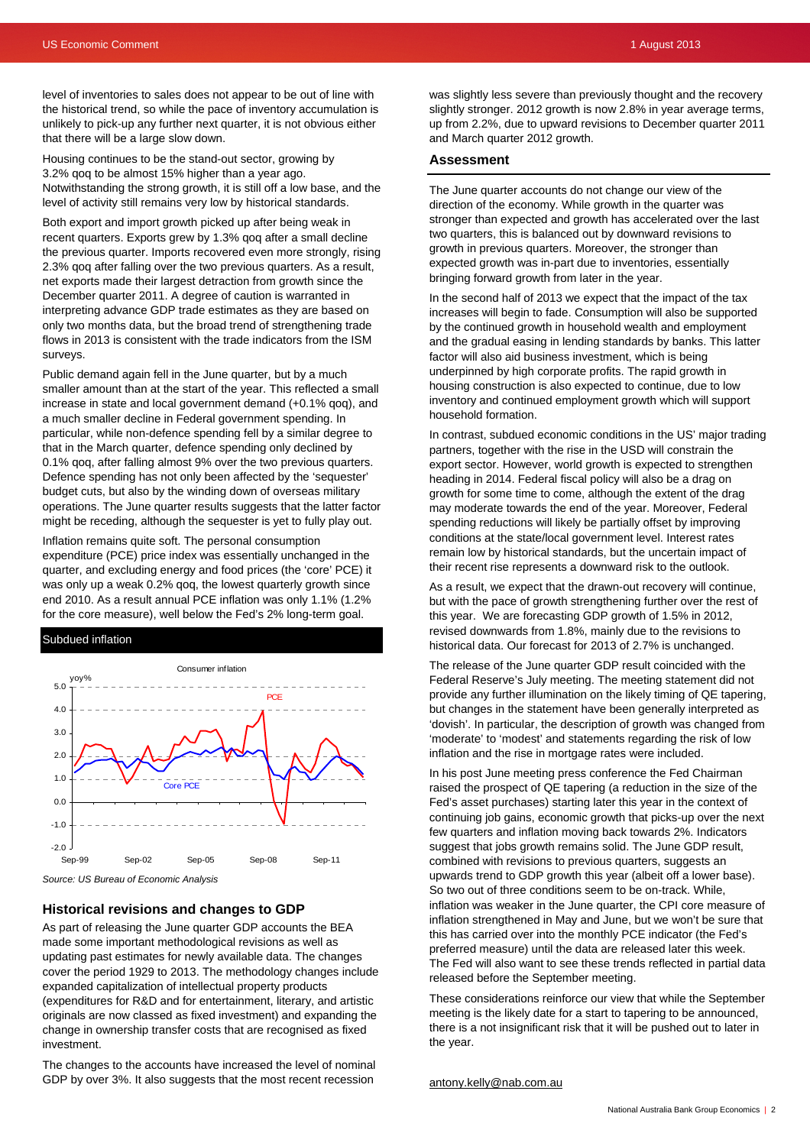level of inventories to sales does not appear to be out of line with the historical trend, so while the pace of inventory accumulation is unlikely to pick-up any further next quarter, it is not obvious either that there will be a large slow down.

Housing continues to be the stand-out sector, growing by 3.2% qoq to be almost 15% higher than a year ago. Notwithstanding the strong growth, it is still off a low base, and the level of activity still remains very low by historical standards.

Both export and import growth picked up after being weak in recent quarters. Exports grew by 1.3% qoq after a small decline the previous quarter. Imports recovered even more strongly, rising 2.3% qoq after falling over the two previous quarters. As a result, net exports made their largest detraction from growth since the December quarter 2011. A degree of caution is warranted in interpreting advance GDP trade estimates as they are based on only two months data, but the broad trend of strengthening trade flows in 2013 is consistent with the trade indicators from the ISM surveys.

Public demand again fell in the June quarter, but by a much smaller amount than at the start of the year. This reflected a small increase in state and local government demand (+0.1% qoq), and a much smaller decline in Federal government spending. In particular, while non-defence spending fell by a similar degree to that in the March quarter, defence spending only declined by 0.1% qoq, after falling almost 9% over the two previous quarters. Defence spending has not only been affected by the 'sequester' budget cuts, but also by the winding down of overseas military operations. The June quarter results suggests that the latter factor might be receding, although the sequester is yet to fully play out.

Inflation remains quite soft. The personal consumption expenditure (PCE) price index was essentially unchanged in the quarter, and excluding energy and food prices (the 'core' PCE) it was only up a weak 0.2% qoq, the lowest quarterly growth since end 2010. As a result annual PCE inflation was only 1.1% (1.2% for the core measure), well below the Fed's 2% long-term goal.

#### Subdued inflation



*Source: US Bureau of Economic Analysis* 

#### **Historical revisions and changes to GDP**

As part of releasing the June quarter GDP accounts the BEA made some important methodological revisions as well as updating past estimates for newly available data. The changes cover the period 1929 to 2013. The methodology changes include expanded capitalization of intellectual property products (expenditures for R&D and for entertainment, literary, and artistic originals are now classed as fixed investment) and expanding the change in ownership transfer costs that are recognised as fixed investment.

The changes to the accounts have increased the level of nominal GDP by over 3%. It also suggests that the most recent recession

was slightly less severe than previously thought and the recovery slightly stronger. 2012 growth is now 2.8% in year average terms, up from 2.2%, due to upward revisions to December quarter 2011 and March quarter 2012 growth.

#### **Assessment**

The June quarter accounts do not change our view of the direction of the economy. While growth in the quarter was stronger than expected and growth has accelerated over the last two quarters, this is balanced out by downward revisions to growth in previous quarters. Moreover, the stronger than expected growth was in-part due to inventories, essentially bringing forward growth from later in the year.

In the second half of 2013 we expect that the impact of the tax increases will begin to fade. Consumption will also be supported by the continued growth in household wealth and employment and the gradual easing in lending standards by banks. This latter factor will also aid business investment, which is being underpinned by high corporate profits. The rapid growth in housing construction is also expected to continue, due to low inventory and continued employment growth which will support household formation.

In contrast, subdued economic conditions in the US' major trading partners, together with the rise in the USD will constrain the export sector. However, world growth is expected to strengthen heading in 2014. Federal fiscal policy will also be a drag on growth for some time to come, although the extent of the drag may moderate towards the end of the year. Moreover, Federal spending reductions will likely be partially offset by improving conditions at the state/local government level. Interest rates remain low by historical standards, but the uncertain impact of their recent rise represents a downward risk to the outlook.

As a result, we expect that the drawn-out recovery will continue, but with the pace of growth strengthening further over the rest of this year. We are forecasting GDP growth of 1.5% in 2012, revised downwards from 1.8%, mainly due to the revisions to historical data. Our forecast for 2013 of 2.7% is unchanged.

The release of the June quarter GDP result coincided with the Federal Reserve's July meeting. The meeting statement did not provide any further illumination on the likely timing of QE tapering, but changes in the statement have been generally interpreted as 'dovish'. In particular, the description of growth was changed from 'moderate' to 'modest' and statements regarding the risk of low inflation and the rise in mortgage rates were included.

In his post June meeting press conference the Fed Chairman raised the prospect of QE tapering (a reduction in the size of the Fed's asset purchases) starting later this year in the context of continuing job gains, economic growth that picks-up over the next few quarters and inflation moving back towards 2%. Indicators suggest that jobs growth remains solid. The June GDP result, combined with revisions to previous quarters, suggests an upwards trend to GDP growth this year (albeit off a lower base). So two out of three conditions seem to be on-track. While, inflation was weaker in the June quarter, the CPI core measure of inflation strengthened in May and June, but we won't be sure that this has carried over into the monthly PCE indicator (the Fed's preferred measure) until the data are released later this week. The Fed will also want to see these trends reflected in partial data released before the September meeting.

These considerations reinforce our view that while the September meeting is the likely date for a start to tapering to be announced, there is a not insignificant risk that it will be pushed out to later in the year.

#### [antony.kelly@nab.com.au](mailto:antony.kelly@nab.com.au)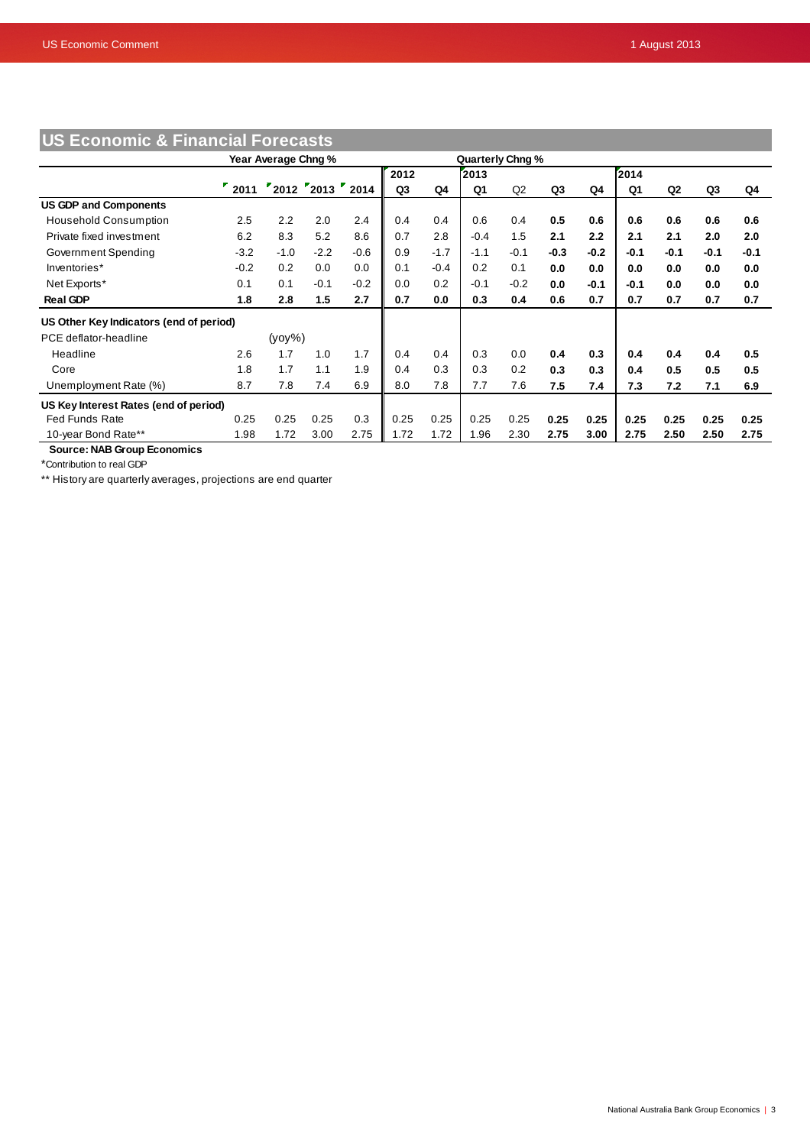| <b>US Economic &amp; Financial Forecasts</b> |                     |           |                  |                  |      |        |        |        |        |        |        |                |        |        |
|----------------------------------------------|---------------------|-----------|------------------|------------------|------|--------|--------|--------|--------|--------|--------|----------------|--------|--------|
|                                              | Year Average Chng % |           |                  | Quarterly Chng % |      |        |        |        |        |        |        |                |        |        |
|                                              |                     |           |                  |                  | 2012 |        | 2013   |        |        |        | 2014   |                |        |        |
|                                              | 2011                |           | "2012"2013"2014" |                  | Q3   | Q4     | Q1     | Q2     | Q3     | Q4     | Q1     | Q <sub>2</sub> | Q3     | Q4     |
| <b>US GDP and Components</b>                 |                     |           |                  |                  |      |        |        |        |        |        |        |                |        |        |
| <b>Household Consumption</b>                 | 2.5                 | 2.2       | 2.0              | 2.4              | 0.4  | 0.4    | 0.6    | 0.4    | 0.5    | 0.6    | 0.6    | 0.6            | 0.6    | 0.6    |
| Private fixed investment                     | 6.2                 | 8.3       | 5.2              | 8.6              | 0.7  | 2.8    | $-0.4$ | 1.5    | 2.1    | 2.2    | 2.1    | 2.1            | 2.0    | 2.0    |
| Government Spending                          | $-3.2$              | $-1.0$    | $-2.2$           | $-0.6$           | 0.9  | $-1.7$ | $-1.1$ | $-0.1$ | $-0.3$ | $-0.2$ | $-0.1$ | -0.1           | $-0.1$ | $-0.1$ |
| Inventories*                                 | $-0.2$              | 0.2       | 0.0              | 0.0              | 0.1  | $-0.4$ | 0.2    | 0.1    | 0.0    | 0.0    | 0.0    | 0.0            | 0.0    | 0.0    |
| Net Exports*                                 | 0.1                 | 0.1       | $-0.1$           | $-0.2$           | 0.0  | 0.2    | $-0.1$ | $-0.2$ | 0.0    | -0.1   | $-0.1$ | 0.0            | 0.0    | 0.0    |
| <b>Real GDP</b>                              | 1.8                 | 2.8       | 1.5              | 2.7              | 0.7  | 0.0    | 0.3    | 0.4    | 0.6    | 0.7    | 0.7    | 0.7            | 0.7    | 0.7    |
| US Other Key Indicators (end of period)      |                     |           |                  |                  |      |        |        |        |        |        |        |                |        |        |
| PCE deflator-headline                        |                     | $(yoy\%)$ |                  |                  |      |        |        |        |        |        |        |                |        |        |
| Headline                                     | 2.6                 | 1.7       | 1.0              | 1.7              | 0.4  | 0.4    | 0.3    | 0.0    | 0.4    | 0.3    | 0.4    | 0.4            | 0.4    | 0.5    |
| Core                                         | 1.8                 | 1.7       | 1.1              | 1.9              | 0.4  | 0.3    | 0.3    | 0.2    | 0.3    | 0.3    | 0.4    | 0.5            | 0.5    | 0.5    |
| Unemployment Rate (%)                        | 8.7                 | 7.8       | 7.4              | 6.9              | 8.0  | 7.8    | 7.7    | 7.6    | 7.5    | 7.4    | 7.3    | 7.2            | 7.1    | 6.9    |
| US Key Interest Rates (end of period)        |                     |           |                  |                  |      |        |        |        |        |        |        |                |        |        |
| <b>Fed Funds Rate</b>                        | 0.25                | 0.25      | 0.25             | 0.3              | 0.25 | 0.25   | 0.25   | 0.25   | 0.25   | 0.25   | 0.25   | 0.25           | 0.25   | 0.25   |
| 10-year Bond Rate**                          | 1.98                | 1.72      | 3.00             | 2.75             | 1.72 | 1.72   | 1.96   | 2.30   | 2.75   | 3.00   | 2.75   | 2.50           | 2.50   | 2.75   |

 **Source: NAB Group Economics**

\*Contribution to real GDP

\*\* History are quarterly averages, projections are end quarter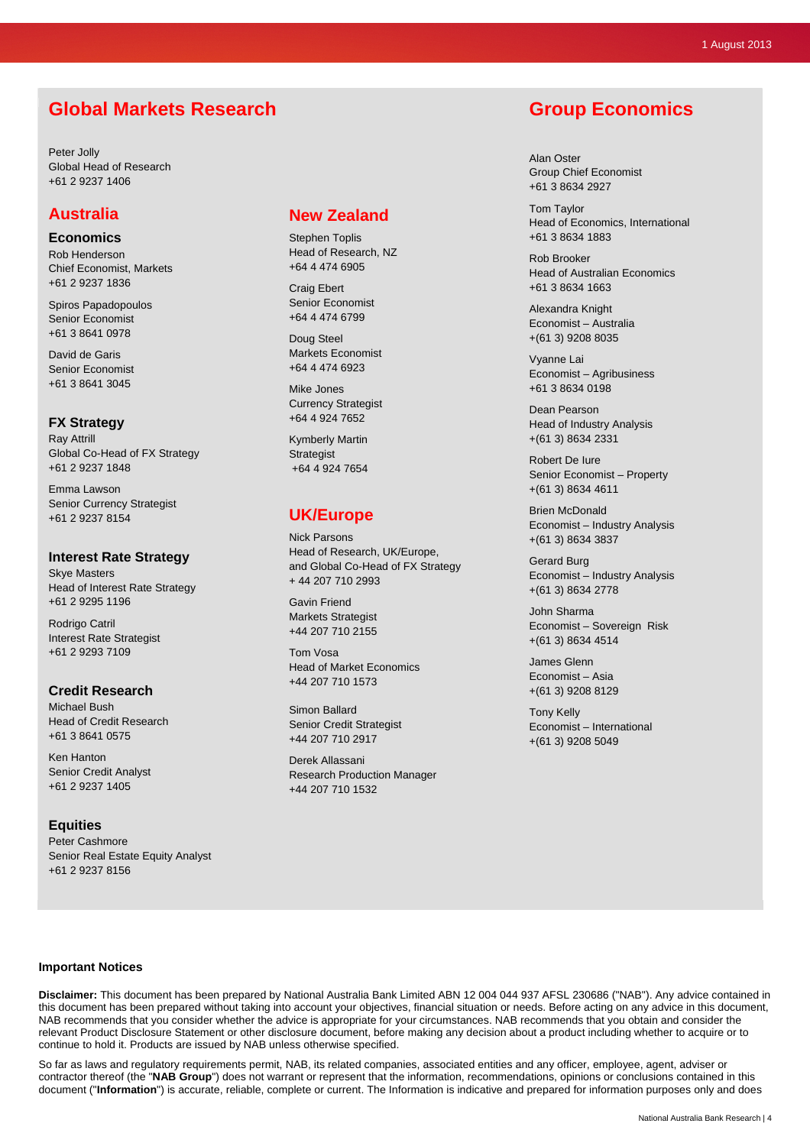# **Global Markets Research**

Peter Jolly Global Head of Research +61 2 9237 1406

### **Australia**

**Economics**  Rob Henderson Chief Economist, Markets +61 2 9237 1836

Spiros Papadopoulos Senior Economist +61 3 8641 0978

David de Garis Senior Economist +61 3 8641 3045

#### **FX Strategy**

Ray Attrill Global Co-Head of FX Strategy +61 2 9237 1848

Emma Lawson Senior Currency Strategist +61 2 9237 8154

#### **Interest Rate Strategy**

Skye Masters Head of Interest Rate Strategy +61 2 9295 1196

Rodrigo Catril Interest Rate Strategist +61 2 9293 7109

#### **Credit Research**

Michael Bush Head of Credit Research +61 3 8641 0575

Ken Hanton Senior Credit Analyst +61 2 9237 1405

#### **Equities**

Peter Cashmore Senior Real Estate Equity Analyst +61 2 9237 8156

### **New Zealand**

Stephen Toplis Head of Research, NZ +64 4 474 6905

Craig Ebert Senior Economist +64 4 474 6799

Doug Steel Markets Economist +64 4 474 6923

Mike Jones Currency Strategist +64 4 924 7652

Kymberly Martin **Strategist** +64 4 924 7654

## **UK/Europe**

Nick Parsons Head of Research, UK/Europe, and Global Co-Head of FX Strategy + 44 207 710 2993

Gavin Friend Markets Strategist +44 207 710 2155

Tom Vosa Head of Market Economics +44 207 710 1573

Simon Ballard Senior Credit Strategist +44 207 710 2917

Derek Allassani Research Production Manager +44 207 710 1532

# **Group Economics**

Alan Oster Group Chief Economist +61 3 8634 2927

Tom Taylor Head of Economics, International +61 3 8634 1883

Rob Brooker Head of Australian Economics +61 3 8634 1663

Alexandra Knight Economist – Australia +(61 3) 9208 8035

Vyanne Lai Economist – Agribusiness +61 3 8634 0198

Dean Pearson Head of Industry Analysis +(61 3) 8634 2331

Robert De Iure Senior Economist – Property +(61 3) 8634 4611

Brien McDonald Economist – Industry Analysis +(61 3) 8634 3837

Gerard Burg Economist – Industry Analysis +(61 3) 8634 2778

John Sharma Economist – Sovereign Risk +(61 3) 8634 4514

James Glenn Economist – Asia +(61 3) 9208 8129

Tony Kelly Economist – International +(61 3) 9208 5049

#### **Important Notices**

**Disclaimer:** This document has been prepared by National Australia Bank Limited ABN 12 004 044 937 AFSL 230686 ("NAB"). Any advice contained in this document has been prepared without taking into account your objectives, financial situation or needs. Before acting on any advice in this document, NAB recommends that you consider whether the advice is appropriate for your circumstances. NAB recommends that you obtain and consider the relevant Product Disclosure Statement or other disclosure document, before making any decision about a product including whether to acquire or to continue to hold it. Products are issued by NAB unless otherwise specified.

So far as laws and regulatory requirements permit, NAB, its related companies, associated entities and any officer, employee, agent, adviser or contractor thereof (the "**NAB Group**") does not warrant or represent that the information, recommendations, opinions or conclusions contained in this document ("**Information**") is accurate, reliable, complete or current. The Information is indicative and prepared for information purposes only and does